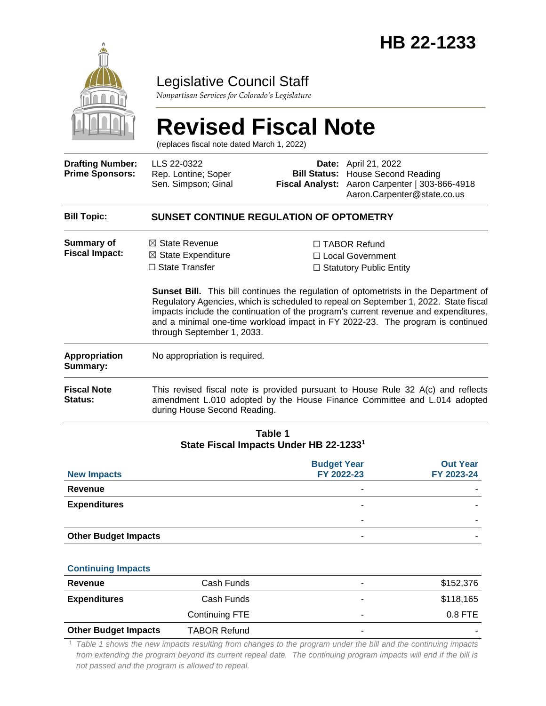

# Legislative Council Staff

*Nonpartisan Services for Colorado's Legislature*

# **Revised Fiscal Note**

(replaces fiscal note dated March 1, 2022)

| <b>Drafting Number:</b><br><b>Prime Sponsors:</b> | LLS 22-0322<br>Rep. Lontine; Soper<br>Sen. Simpson; Ginal                                                                                                                                    |  | <b>Date:</b> April 21, 2022<br><b>Bill Status: House Second Reading</b><br>Fiscal Analyst: Aaron Carpenter   303-866-4918<br>Aaron.Carpenter@state.co.us                                                                                                                                                                                                                                                                                    |  |  |  |
|---------------------------------------------------|----------------------------------------------------------------------------------------------------------------------------------------------------------------------------------------------|--|---------------------------------------------------------------------------------------------------------------------------------------------------------------------------------------------------------------------------------------------------------------------------------------------------------------------------------------------------------------------------------------------------------------------------------------------|--|--|--|
| <b>Bill Topic:</b>                                | SUNSET CONTINUE REGULATION OF OPTOMETRY                                                                                                                                                      |  |                                                                                                                                                                                                                                                                                                                                                                                                                                             |  |  |  |
| Summary of<br><b>Fiscal Impact:</b>               | $\boxtimes$ State Revenue<br>$\boxtimes$ State Expenditure<br>$\Box$ State Transfer<br>through September 1, 2033.                                                                            |  | $\Box$ TABOR Refund<br>□ Local Government<br>$\Box$ Statutory Public Entity<br><b>Sunset Bill.</b> This bill continues the regulation of optometrists in the Department of<br>Regulatory Agencies, which is scheduled to repeal on September 1, 2022. State fiscal<br>impacts include the continuation of the program's current revenue and expenditures,<br>and a minimal one-time workload impact in FY 2022-23. The program is continued |  |  |  |
| <b>Appropriation</b><br>Summary:                  | No appropriation is required.                                                                                                                                                                |  |                                                                                                                                                                                                                                                                                                                                                                                                                                             |  |  |  |
| <b>Fiscal Note</b><br><b>Status:</b>              | This revised fiscal note is provided pursuant to House Rule 32 A(c) and reflects<br>amendment L.010 adopted by the House Finance Committee and L.014 adopted<br>during House Second Reading. |  |                                                                                                                                                                                                                                                                                                                                                                                                                                             |  |  |  |

#### **Table 1 State Fiscal Impacts Under HB 22-1233<sup>1</sup>**

| <b>New Impacts</b>          | <b>Budget Year</b><br>FY 2022-23 | <b>Out Year</b><br>FY 2023-24 |
|-----------------------------|----------------------------------|-------------------------------|
| <b>Revenue</b>              | ۰                                |                               |
| <b>Expenditures</b>         |                                  |                               |
|                             | -                                |                               |
| <b>Other Budget Impacts</b> | ۰                                |                               |

#### **Continuing Impacts**

| Revenue                     | Cash Funds          | ۰ | \$152,376 |
|-----------------------------|---------------------|---|-----------|
| <b>Expenditures</b>         | Cash Funds          | ۰ | \$118,165 |
|                             | Continuing FTE      | ۰ | $0.8$ FTE |
| <b>Other Budget Impacts</b> | <b>TABOR Refund</b> | ۰ |           |

<sup>1</sup> *Table 1 shows the new impacts resulting from changes to the program under the bill and the continuing impacts from extending the program beyond its current repeal date. The continuing program impacts will end if the bill is not passed and the program is allowed to repeal.*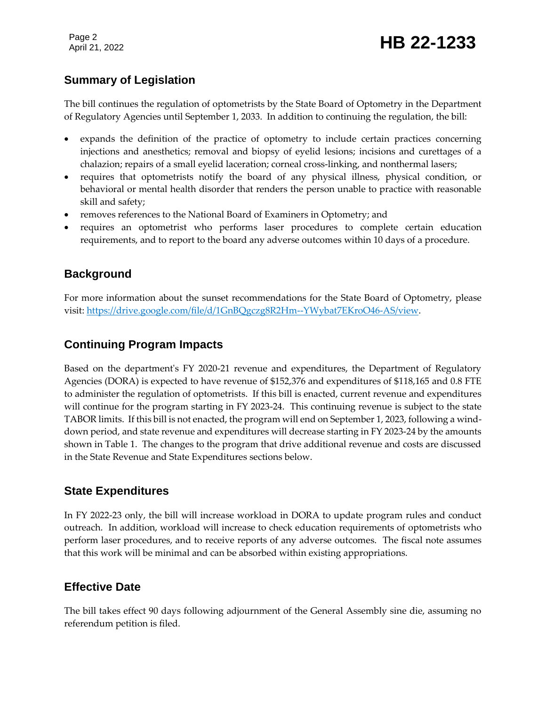Page 2

## **Summary of Legislation**

The bill continues the regulation of optometrists by the State Board of Optometry in the Department of Regulatory Agencies until September 1, 2033. In addition to continuing the regulation, the bill:

- expands the definition of the practice of optometry to include certain practices concerning injections and anesthetics; removal and biopsy of eyelid lesions; incisions and curettages of a chalazion; repairs of a small eyelid laceration; corneal cross-linking, and nonthermal lasers;
- requires that optometrists notify the board of any physical illness, physical condition, or behavioral or mental health disorder that renders the person unable to practice with reasonable skill and safety;
- removes references to the National Board of Examiners in Optometry; and
- requires an optometrist who performs laser procedures to complete certain education requirements, and to report to the board any adverse outcomes within 10 days of a procedure.

#### **Background**

For more information about the sunset recommendations for the State Board of Optometry, please visit: [https://drive.google.com/file/d/1GnBQgczg8R2Hm--YWybat7EKroO46-AS/view.](https://drive.google.com/file/d/1GnBQgczg8R2Hm--YWybat7EKroO46-AS/view)

### **Continuing Program Impacts**

Based on the department's FY 2020-21 revenue and expenditures, the Department of Regulatory Agencies (DORA) is expected to have revenue of \$152,376 and expenditures of \$118,165 and 0.8 FTE to administer the regulation of optometrists. If this bill is enacted, current revenue and expenditures will continue for the program starting in FY 2023-24. This continuing revenue is subject to the state TABOR limits. If this bill is not enacted, the program will end on September 1, 2023, following a winddown period, and state revenue and expenditures will decrease starting in FY 2023-24 by the amounts shown in Table 1. The changes to the program that drive additional revenue and costs are discussed in the State Revenue and State Expenditures sections below.

#### **State Expenditures**

In FY 2022-23 only, the bill will increase workload in DORA to update program rules and conduct outreach. In addition, workload will increase to check education requirements of optometrists who perform laser procedures, and to receive reports of any adverse outcomes. The fiscal note assumes that this work will be minimal and can be absorbed within existing appropriations.

### **Effective Date**

The bill takes effect 90 days following adjournment of the General Assembly sine die, assuming no referendum petition is filed.